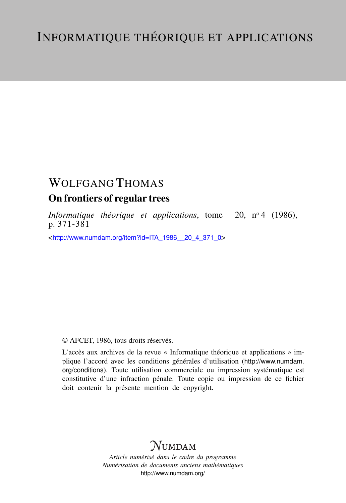# WOLFGANG THOMAS

# On frontiers of regular trees

*Informatique théorique et applications*, tome 20, nº 4 (1986), p. 371-381

<[http://www.numdam.org/item?id=ITA\\_1986\\_\\_20\\_4\\_371\\_0](http://www.numdam.org/item?id=ITA_1986__20_4_371_0)>

## © AFCET, 1986, tous droits réservés.

L'accès aux archives de la revue « Informatique théorique et applications » implique l'accord avec les conditions générales d'utilisation ([http://www.numdam.](http://www.numdam.org/conditions) [org/conditions](http://www.numdam.org/conditions)). Toute utilisation commerciale ou impression systématique est constitutive d'une infraction pénale. Toute copie ou impression de ce fichier doit contenir la présente mention de copyright.

# **NUMDAM**

*Article numérisé dans le cadre du programme Numérisation de documents anciens mathématiques* <http://www.numdam.org/>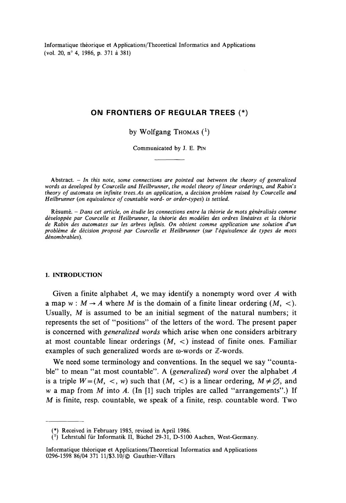Informatique théorique et Applications/Theoretical Informaties and Applications (vol. 20, n° 4, 1986, p. 371 à 381)

### **ON FRONTIERS OF REGULAR TREES (\*)**

by Wolfgang Thomas  $(1)$ 

Communicated by J. E. PIN

Abstract. - *In this note, some connections are pointed out between the theory of generalized* words as developed by Courcelle and Heilbrunner, the model theory of linear orderings, and Rabin's *theory of automata on infinité trees. As an application, a décision problem raised by Courcelle and Heilbrunner (on équivalence of countable word- or order-types) is settled.*

Résumé. - *Dans cet article, on étudie les connections entre la théorie de mots généralisés comme développée par Courcelle et Heilbrunner, la théorie des modèles des ordres linéaires et la théorie de Rabin des automates sur les arbres infinis. On obtient comme application une solution d'un problème de décision proposé par Courcelle et Heilbrunner (sur l'équivalence de types de mots dénombrables).*

#### **1. INTRODUCTION**

Given a finite alphabet *A,* we may identify a nonempty word over *A* with a map  $w : M \to A$  where M is the domain of a finite linear ordering  $(M, \leq)$ . Usually, *M* is assumed to be an initial segment of the natural numbers; it represents the set of "positions" of the letters of the word. The present paper is concerned with *generalized words* which arise when one considers arbitrary at most countable linear orderings  $(M, \leq)$  instead of finite ones. Familiar examples of such generalized words are  $\omega$ -words or  $\mathbb{Z}$ -words.

We need some terminology and conventions. In the sequel we say "countable" to mean "at most countable". A *(generalized) word* over the alphabet *A* is a triple  $W = (M, <, w)$  such that  $(M, <)$  is a linear ordering,  $M \neq \emptyset$ , and w a map from *M* into *A.* (In [1] such triples are called "arrangements".) If *M* is finite, resp. countable, we speak of a finite, resp. countable word. Two

<sup>(\*)</sup> Received in February 1985, revised in April 1986.

<sup>(&#</sup>x27;) Lehrstuhl für Informatik II, Büchel 29-31, D-5100 Aachen, West-Germany.

Informatique théorique et Applications/Theoretical Informaties and Applications 0296-1598 86/04 371 11/S3.10/© Gauthier-Villars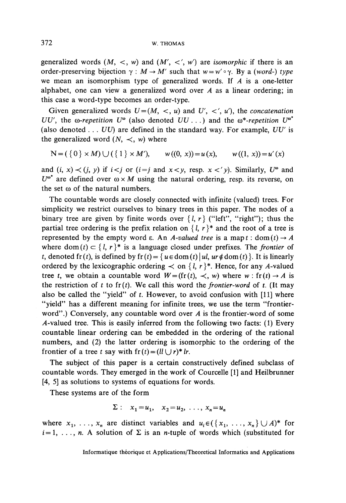generalized words  $(M, <, w)$  and  $(M', <', w')$  are *isomorphic* if there is an order-preserving bijection  $\gamma$  :  $M \rightarrow M'$  such that  $w = w' \circ \gamma$ . By a (word-) type we mean an isomorphism type of generalized words. If *A* is a one-letter alphabet, one can view a generalized word over *A* as a linear ordering; in this case a word-type becomes an order-type.

Given generalized words  $U = (M, \langle , \rangle)$  and  $U', \langle , \rangle$ , the *concatenation UU'*, the  $\omega$ -repetition  $U^{\omega}$  (also denoted  $UU \dots$ ) and the  $\omega^*$ -repetition  $U^{\omega^*}$ (also denoted . . . *UU)* are defined in the standard way. For example, *UU'* is the generalized word  $(N, \prec, w)$  where

$$
N = (\{0\} \times M) \cup (\{1\} \times M'), \qquad w((0, x)) = u(x), \qquad w((1, x)) = u'(x)
$$

and  $(i, x) \prec (j, y)$  if  $i < j$  or  $(i = j$  and  $x < y$ , resp.  $x < 'y$ ). Similarly,  $U^{\omega}$  and  $U^{\omega^*}$  are defined over  $\omega \times M$  using the natural ordering, resp. its reverse, on the set  $\omega$  of the natural numbers.

The countable words are closely connected with infinité (valued) trees. For simplicity we restrict ourselves to binary trees in this paper. The nodes of a binary tree are given by finite words over  $\{l, r\}$  ("left", "right"); thus the partial tree ordering is the prefix relation on  $\{l, r\}^*$  and the root of a tree is represented by the empty word  $\varepsilon$ . An *A-valued tree* is a map  $t : dom(t) \rightarrow A$ where dom(t)  $\subset \{l, r\}^*$  is a language closed under prefixes. The *frontier* of *t*, denoted fr (*t*), is defined by fr (*t*) = {  $u \in \text{dom}(t) | u l$ ,  $u r \notin \text{dom}(t)$  }. It is linearly ordered by the lexicographic ordering  $\langle$  on  $\{l, r\}^*$ . Hence, for any A-valued tree t, we obtain a countable word  $W = (f(r), \prec, w)$  where  $w : fr(t) \rightarrow A$  is the restriction of  $t$  to fr( $t$ ). We call this word the *frontier-word* of  $t$ . (It may also be called the "yield" of *t.* However, to avoid confusion with [11] where "yield" has a different meaning for infinite trees, we use the term "frontierword".) Conversely, any countable word over *A* is the frontier-word of some  $A$ -valued tree. This is easily inferred from the following two facts: (1) Every countable linear ordering can be embedded in the ordering of the rational numbers, and (2) the latter ordering is isomorphic to the ordering of the frontier of a tree *t* say with  $\text{fr}(t) = (ll \cup r)^* \text{lr}.$ 

The subject of this paper is a certain constructively defined subclass of countable words. They emerged in the work of Courcelle [1] and Heilbrunner [4, 5] as solutions to systems of equations for words.

These systems are of the form

$$
\Sigma: \quad x_1 = u_1, \quad x_2 = u_2, \quad \ldots, \quad x_n = u_n
$$

where  $x_1, \ldots, x_n$  are distinct variables and  $u_i \in (\{x_1, \ldots, x_n\} \cup A)^*$  for  $i=1, \ldots, n$ . A solution of  $\Sigma$  is an *n*-tuple of words which (substituted for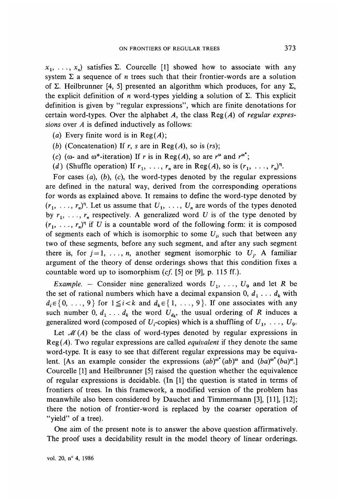$x_1, \ldots, x_n$  satisfies  $\Sigma$ . Courcelle [1] showed how to associate with any system  $\Sigma$  a sequence of *n* trees such that their frontier-words are a solution of  $\Sigma$ . Heilbrunner [4, 5] presented an algorithm which produces, for any  $\Sigma$ , the explicit definition of *n* word-types yielding a solution of  $\Sigma$ . This explicit définition is given by "regular expressions", which are finite denotations for certain word-types. Over the alphabet *A,* the class *Reg(A)* of *regular expressions* over *A* is defined inductively as follows:

- (a) Every finite word is in  $\text{Reg}(A)$ ;
- *(b)* (Concatenation) If r, s are in Reg(A), so is (rs);
- (c) ( $\omega$  and  $\omega^*$ -iteration) If r is in Reg(A), so are r<sup> $\omega$ </sup> and r<sup> $\omega^*$ </sup>;
- (*d*) (Shuffle operation) If  $r_1, \ldots, r_n$  are in Reg(*A*), so is  $(r_1, \ldots, r_n)^{\eta}$ .

For cases (a), *(b),* (c), the word-types denoted by the regular expressions are defined in the natural way, derived from the corresponding operations for words as explained above. It remains to define the word-type denoted by  $(r_1, \ldots, r_n)^n$ . Let us assume that  $U_1, \ldots, U_n$  are words of the types denoted by  $r_1, \ldots, r_n$  respectively. A generalized word U is of the type denoted by  $(r_1, \ldots, r_n)^n$  if *U* is a countable word of the following form: it is composed of segments each of which is isomorphic to some  $U_i$ , such that between any two of these segments, before any such segment, and after any such segment there is, for  $j = 1, \ldots, n$ , another segment isomorphic to  $U_j$ . A familiar argument of the theory of dense orderings shows that this condition fixes a countable word up to isomorphism *(cf.* [5] or [9], p. 115 ff.).

*Example.* – Consider nine generalized words  $U_1, \ldots, U_9$  and let R be the set of rational numbers which have a decimal expansion 0,  $d_1 \ldots d_k$  with  $d_i \in \{0, \ldots, 9\}$  for  $1 \leq i < k$  and  $d_k \in \{1, \ldots, 9\}$ . If one associates with any such number 0,  $d_1 \ldots d_k$  the word  $U_{d_k}$ , the usual ordering of R induces a generalized word (composed of  $U_i$ -copies) which is a shuffling of  $U_1, \ldots, U_9$ .

Let  $\mathcal{M}(A)$  be the class of word-types denoted by regular expressions in Reg(A). Two regular expressions are called *equivalent* if they dénote the same word-type. It is easy to see that different regular expressions may be equivalent. [As an example consider the expressions *(ab)™\* (ab)™* and *(ba)<sup>a</sup> \* (ba)®.]* Courcelle [1] and Heilbrunner [5] raised the question whether the equivalence of regular expressions is decidable. (In [1] the question is stated in terms of frontiers of trees. In this framework, a modified version of the problem has meanwhile also been considered by Dauchet and Timmermann [3], [11], [12]; there the notion of frontier-word is replaced by the coarser operation of "yield" of a tree).

One aim of the present note is to answer the above question affirmatively. The proof uses a decidability result in the model theory of linear orderings.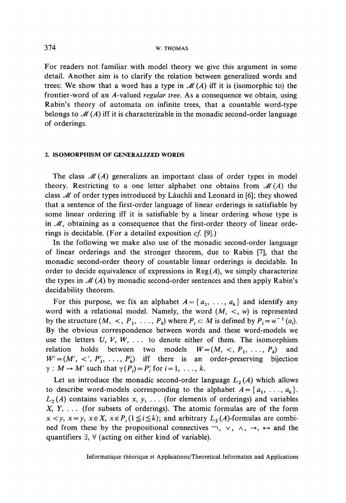For readers not familiar with model theory we give this argument in some detail. Another aim is to clarify the relation between generalized words and trees: We show that a word has a type in  $\mathcal{M}(A)$  iff it is (isomorphic to) the frontier-word of an A-valued *regular tree*. As a consequence we obtain, using Rabin's theory of automata on infinité trees, that a countable word-type belongs to  $\mathcal{M}(A)$  iff it is characterizable in the monadic second-order language of orderings.

### **2. ISOMORPHISM OF GENERALIZED WORDS**

The class  $\mathcal{M}(A)$  generalizes an important class of order types in model theory. Restricting to a one letter alphabet one obtains from  $\mathcal{M}(A)$  the class M of order types introduced by Läuchli and Leonard in [6]; they showed that a sentence of the first-order language of linear orderings is satisfiable by some linear ordering iff it is satisfiable by a linear ordering whose type is in  $M$ , obtaining as a consequence that the first-order theory of linear orderings is decidable. (For a detailed exposition *cf.* [9].)

In the following we make also use of the monadic second-order language of linear orderings and the stronger theorem, due to Rabin [7], that the monadic second-order theory of countable linear orderings is decidable. In order to decide equivalence of expressions in  $Reg(A)$ , we simply characterize the types in  $\mathcal{M}(A)$  by monadic second-order sentences and then apply Rabin's decidability theorem.

For this purpose, we fix an alphabet  $A = \{a_1, \ldots, a_k\}$  and identify any word with a relational model. Namely, the word  $(M, <, w)$  is represented by the structure  $(M, <, P_1, \ldots, P_k)$  where  $P_i \subset M$  is defined by  $P_i = w^{-1}(a_i)$ . By the obvious correspondence between words and these word-models we use the letters  $U, V, W, \ldots$  to denote either of them. The isomorphism relation holds between two models  $W = (M, \langle P_1, \ldots, P_k)$  and  $W' = (M', \langle P_1', \ldots, P_k')$  iff there is an order-preserving bijection  $\gamma : M \to M'$  such that  $\gamma (P_i) = P'_i$  for  $i=1, \ldots, k$ .

Let us introduce the monadic second-order language  $L_2(A)$  which allows to describe word-models corresponding to the alphabet  $A = \{a_1, \ldots, a_k\}.$  $L_2(A)$  contains variables x, y, ... (for elements of orderings) and variables *X,* 7, . . . (for subsets of orderings). The atomic formulas are of the form  $x < y$ ,  $x = y$ ,  $x \in X$ ,  $x \in P_i$  ( $1 \leq i \leq k$ ); and arbitrary  $L_2(A)$ -formulas are combined from these by the propositional connectives  $\neg, \vee, \wedge, \rightarrow, \leftrightarrow$  and the quantifiers  $\exists$ ,  $\forall$  (acting on either kind of variable).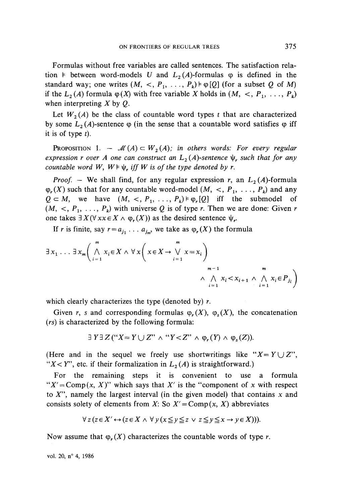Formulas without free variables are called sentences. The satisfaction relation  $\models$  between word-models U and  $L_2(A)$ -formulas  $\varphi$  is defined in the standard way; one writes  $(M, \langle P_1, \ldots, P_k) \models \varphi[Q]$  (for a subset *Q* of *M*) if the  $L_2(A)$  formula  $\varphi(X)$  with free variable X holds in  $(M, \langle 1, P_1, \ldots, P_k)$ when interpreting  $X$  by  $Q$ .

Let  $W<sub>2</sub>(A)$  be the class of countable word types t that are characterized by some  $L_2(A)$ -sentence  $\varphi$  (in the sense that a countable word satisfies  $\varphi$  iff it is of type *t).*

**PROPOSITION** 1. –  $\mathcal{M}(A) \subset W$ <sub>2</sub> $(A)$ ; in others words: For every regular  $expression$  *r* over A one can construct an  $L_2(A)$ -sentence  $\psi_r$  such that for any *countable word W,*  $W \models \psi_r$  *iff W is of the type denoted by r.* 

*Proof.* – We shall find, for any regular expression r, an  $L_2(A)$ -formula  $\varphi_r(X)$  such that for any countable word-model  $(M, \langle, P_1, \ldots, P_k)$  and any  $Q \subset M$ , we have  $(M, \langle P_1, \ldots, P_k) \models \varphi_r[Q]$  iff the submodel of  $(M, \langle P_1, \ldots, P_k)$  with universe Q is of type r. Then we are done: Given r one takes  $\exists X (\forall x x \in X \land \varphi_r(X))$  as the desired sentence  $\psi_r$ .

If *r* is finite, say  $r = a_{j_1} \ldots a_{j_m}$ , we take as  $\varphi_r(X)$  the formula

$$
\exists x_1 \ldots \exists x_m \left( \bigwedge_{i=1}^m x_i \in X \land \forall x \left( x \in X \to \bigvee_{i=1}^m x = x_i \right) \right) \qquad \qquad m-1 \qquad m \qquad \land \bigwedge_{i=1}^m x_i < x_{i+1} \land \bigwedge_{i=1}^m x_i \in P_{j_i} \right)
$$

which clearly characterizes the type (denoted by)  $r$ .

Given r, s and corresponding formulas  $\varphi_r(X)$ ,  $\varphi_s(X)$ , the concatenation *(rs)* is characterized by the following formula:

$$
\exists Y \exists Z ("X = Y \cup Z" \land "Y < Z" \land \varphi_r(Y) \land \varphi_s(Z)).
$$

(Here and in the sequel we freely use shortwritings like " $X = Y \cup Z$ ", " $X < Y$ ", etc. if their formalization in  $L_2(A)$  is straightforward.)

For the remaining steps it is convenient to use a formula " $X' = \text{Comp}(x, X)$ " which says that  $X'$  is the "component of x with respect" to *X'\* namely the largest interval (in the given model) that contains *x* and consists solety of elements from X: So  $X' = \text{Comp}(x, X)$  abbreviates

$$
\forall z (z \in X' \leftrightarrow (z \in X \land \forall y (x \leq y \leq z \lor z \leq y \leq x \to y \in X))).
$$

Now assume that  $\varphi_r(X)$  characterizes the countable words of type *r*.

vol. 20, n° 4, 1986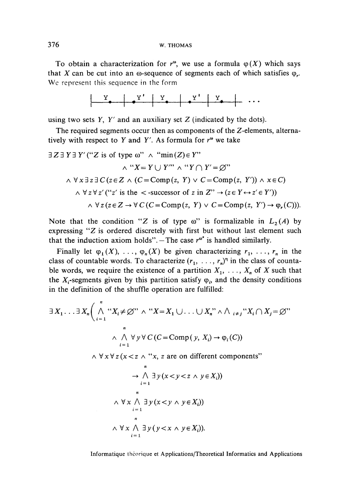To obtain a characterization for  $r<sup>{\omega}</sup>$ , we use a formula  $\varphi(X)$  which says that X can be cut into an  $\omega$ -sequence of segments each of which satisfies  $\varphi_r$ . We represent this sequence in the form



using two sets  $Y$ ,  $Y'$  and an auxiliary set  $Z$  (indicated by the dots).

The required segments occur then as components of the Z-elements, alternatively with respect to *Y* and *Y'*. As formula for  $r<sup>ω</sup>$  we take

$$
\exists Z \exists Y \exists Y' ("Z is of type  $\omega$ " \land "min(Z) \in Y"
$$
  
\n
$$
\land "X = Y \cup Y" \land "Y \cap Y' = \varnothing"
$$
  
\n
$$
\land \forall x \exists z \exists C (z \in Z \land (C = Comp(z, Y) \lor C = Comp(z, Y')) \land x \in C)
$$
  
\n
$$
\land \forall z \forall z' ("z' is the < -successor of z in Z" \rightarrow (z \in Y \leftrightarrow z' \in Y'))
$$
  
\n
$$
\land \forall z (z \in Z \rightarrow \forall C (C = Comp(z, Y) \lor C = Comp(z, Y') \rightarrow \varphi_r(C))).
$$

Note that the condition "Z is of type  $\omega$ " is formalizable in  $L_2(A)$  by expressing "Z is ordered discretely with first but without last element such that the induction axiom holds". – The case  $r^{\omega^*}$  is handled similarly.

Finally let  $\varphi_1(X), \ldots, \varphi_n(X)$  be given characterizing  $r_1, \ldots, r_n$  in the class of countable words. To characterize  $(r_1, \ldots, r_n)^n$  in the class of countable words, we require the existence of a partition  $X_1, \ldots, X_n$  of X such that the  $X_i$ -segments given by this partition satisfy  $\varphi_i$ , and the density conditions in the definition of the shuffle operation are fulfilled:

$$
\exists X_1 \dots \exists X_n \left( \bigwedge_{i=1}^n \text{``} X_i \neq \emptyset \text{''} \land \text{``} X = X_1 \cup \dots \cup X_n \text{''} \land \bigwedge_{i \neq j} \text{``} X_i \cap X_j = \emptyset \text{''}
$$

$$
\land \bigwedge_{i=1}^n \forall y \forall C \left( C = \text{Comp} \left( y, X_i \right) \to \varphi_i(C) \right)
$$

 $\land \forall x \forall z (x \leq z \land "x, z \text{ are on different components})$ 

$$
\rightarrow \bigwedge_{i=1}^{n} \exists y (x < y < z \land y \in X_{i}))
$$
  

$$
\land \forall x \bigwedge_{i=1}^{n} \exists y (x < y \land y \in X_{i}))
$$
  

$$
\land \forall x \bigwedge_{i=1}^{n} \exists y (y < x \land y \in X_{i}))
$$

Informatique théorique et Applications/Theoretical Informatics and Applications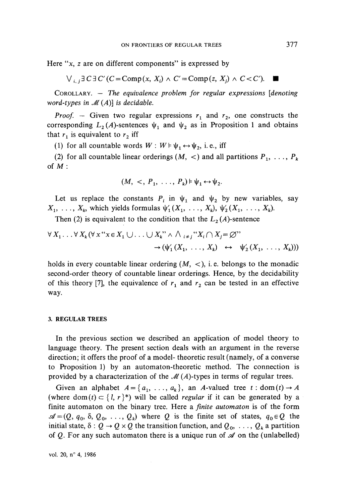Here "x, z are on different components" is expressed by

$$
\bigvee_{i,j} \exists C \exists C' (C = \text{Comp}(x, X_i) \land C' = \text{Comp}(z, X_j) \land C < C'). \quad \blacksquare
$$

COROLLARY. — *The équivalence problem for regular expressions [denoting word-types in*  $M(A)$ ] *is decidable.* 

*Proof.* – Given two regular expressions  $r_1$  and  $r_2$ , one constructs the corresponding  $L_2(A)$ -sentences  $\psi_1$  and  $\psi_2$  as in Proposition 1 and obtains that  $r_1$  is equivalent to  $r_2$  iff

(1) for all countable words  $W : W \models \psi_1 \leftrightarrow \psi_2$ , i.e., iff

(2) for all countable linear orderings  $(M, \leq)$  and all partitions  $P_1, \ldots, P_k$ of  $M:$ 

$$
(M, <, P_1, \ldots, P_k) \models \psi_1 \leftrightarrow \psi_2.
$$

Let us replace the constants  $P_i$  in  $\psi_1$  and  $\psi_2$  by new variables, say  $X_1, \ldots, X_k$ , which yields formulas  $\psi'_1(X_1, \ldots, X_k)$ ,  $\psi'_2(X_1, \ldots, X_k)$ .

Then (2) is equivalent to the condition that the  $L_2(A)$ -sentence

$$
\forall X_1 \dots \forall X_k (\forall x \text{``} x \in X_1 \cup \dots \cup X_k \text{''} \land \land \iota_{\neq j} \text{``} X_i \cap X_j = \varnothing \text{''}
$$

$$
\rightarrow (\psi_1' (X_1, \dots, X_k) \leftrightarrow \psi_2' (X_1, \dots, X_k)))
$$

holds in every countable linear ordering  $(M, \langle \rangle)$ , i.e. belongs to the monadic second-order theory of countable linear orderings. Hence, by the decidability of this theory [7], the equivalence of  $r_1$  and  $r_2$  can be tested in an effective way.

#### **3. REGULAR TREES**

In the previous section we described an application of model theory to language theory. The present section deals with an argument in the reverse direction; it offers the proof of a model- theoretic resuit (namely, of a converse to Proposition 1) by an automaton-theoretic method. The connection is provided by a characterization of the  $\mathcal{M}(A)$ -types in terms of regular trees.

Given an alphabet  $A = \{a_1, \ldots, a_k\}$ , an A-valued tree  $t : dom(t) \rightarrow A$ (where dom(t)  $\subset \{l, r\}^*$ ) will be called *regular* if it can be generated by a finite automaton on the binary tree. Hère a *finite automaton* is of the form  $\mathscr{A} = (Q, q_0, \delta, Q_0, \ldots, Q_k)$  where *Q* is the finite set of states,  $q_0 \in Q$  the initial state,  $\delta: Q \to Q \times Q$  the transition function, and  $Q_0, \ldots, Q_k$  a partition of  $Q$ . For any such automaton there is a unique run of  $\mathscr A$  on the (unlabelled)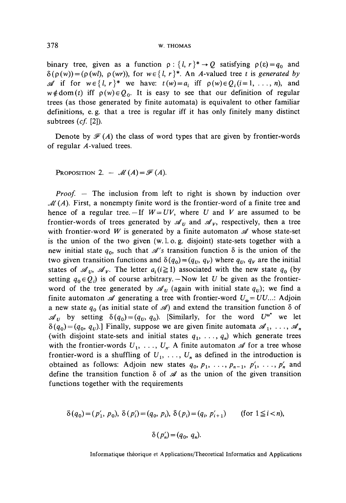binary tree, given as a function  $\rho: \{l, r\}^* \to Q$  satisfying  $\rho(\varepsilon) = q_0$  and  $\delta(\rho(w)) = (\rho(wl), \rho(wr))$ , for  $w \in \{l, r\}^*$ . An A-valued tree *t* is generated by  $\mathscr A$  if for  $w \in \{l, r\}^*$  we have:  $t(w) = a_i$  iff  $\rho(w) \in Q_i$  (*i*=1, ..., *n*), and  $w \notin \text{dom}(t)$  iff  $p(w) \in Q_0$ . It is easy to see that our definition of regular trees (as those generated by finite automata) is equivalent to other familiar définitions, e. g. that a tree is regular iff it has only finitely many distinct subtrees *(cf.* [2]).

Denote by  $\mathcal{F}(A)$  the class of word types that are given by frontier-words of regular  $A$ -valued trees.

PROPOSITION 2. -  $\mathcal{M}(A) = \mathcal{F}(A)$ .

*Proof.* – The inclusion from left to right is shown by induction over  $M(A)$ . First, a nonempty finite word is the frontier-word of a finite tree and hence of a regular tree.  $-H W = UV$ *i*, where *U* and *V* are assumed to be frontier-words of trees generated by  $\mathscr{A}_{U}$  and  $\mathscr{A}_{V}$ , respectively, then a tree with frontier-word W is generated by a finite automaton  $\mathscr A$  whose state-set is the union of the two given (w. 1. o. g. disjoint) state-sets together with a new initial state  $q_0$ , such that  $\mathscr{A}'s$  transition function  $\delta$  is the union of the two given transition functions and  $\delta(q_o) = (q_{\nu}, q_{\nu})$  where  $q_{\nu}, q_{\nu}$  are the initial states of  $\mathcal{A}_v$ ,  $\mathcal{A}_v$ . The letter  $a_i (i \ge 1)$  associated with the new state  $q_0$  (by setting  $q_0 \in Q_i$ ) is of course arbitrary. — Now let *U* be given as the frontierword of the tree generated by  $\mathcal{A}_U$  (again with initial state  $q_U$ ); we find a finite automaton  $\mathscr A$  generating a tree with frontier-word  $U_{\omega} = UU...$ . Adjoin a new state  $q_0$  (as initial state of  $\mathscr A$ ) and extend the transition function  $\delta$  of  $\mathscr{A}_U$  by setting  $\delta(q_0) = (q_U, q_0)$ . [Similarly, for the word  $U^{\omega^*}$  we let  $\delta(q_0) = (q_0, q_v)$ .] Finally, suppose we are given finite automata  $\mathscr{A}_1, \ldots, \mathscr{A}_n$ (with disjoint state-sets and initial states  $q_1, \ldots, q_n$ ) which generate trees with the frontier-words  $U_1, \ldots, U_n$ . A finite automaton  $\mathscr A$  for a tree whose frontier-word is a shuffling of  $U_1, \ldots, U_n$  as defined in the introduction is obtained as follows: Adjoin new states  $q_0, p_1, \ldots, p_{n-1}, p'_1, \ldots, p'_n$  and define the transition function  $\delta$  of  $\mathscr A$  as the union of the given transition functions together with the requirements

$$
\delta(q_0) = (p'_1, p_0), \ \delta(p'_i) = (q_0, p_i), \ \delta(p_i) = (q_i, p'_{i+1}) \qquad \text{(for } 1 \le i < n),
$$

$$
\delta(p'_n) = (q_0, q_n).
$$

Informatique théorique et Applications/Theoretical Informaties and Applications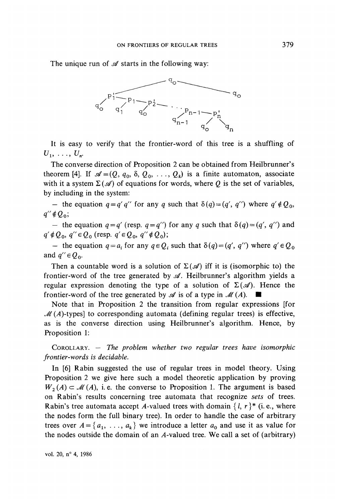The unique run of *sé* starts in the following way:



It is easy to verify that the frontier-word of this tree is a shuffling of  $U_1, \ldots, U_n$ 

The converse direction of Proposition 2 can be obtained from Heilbrunner's theorem [4]. If  $\mathscr{A} = (Q, q_0, \delta, Q_0, \ldots, Q_k)$  is a finite automaton, associate with it a system  $\Sigma(\mathcal{A})$  of equations for words, where Q is the set of variables, by including in the system:

— the equation  $q = q' q''$  for any q such that  $\delta(q) = (q', q'')$  where  $q' \notin Q_0$ ,  $q'' \notin Q_0$ ;

— the equation  $q = q'$  (resp.  $q = q''$ ) for any q such that  $\delta(q) = (q', q'')$  and  $q' \notin Q_0$ ,  $q'' \in Q_0$  (resp.  $q' \in Q_0$ ,  $q'' \notin Q_0$ );

- the equation  $q = a_i$  for any  $q \in Q_i$  such that  $\delta(q) = (q', q'')$  where  $q' \in Q_0$ and  $q'' \in Q_0$ .

Then a countable word is a solution of  $\Sigma(\mathcal{A})$  iff it is (isomorphic to) the frontier-word of the tree generated by *sé.* Heilbrunner's algorithm yields a regular expression denoting the type of a solution of  $\Sigma(\mathcal{A})$ . Hence the frontier-word of the tree generated by  $\mathscr A$  is of a type in  $\mathscr M(A)$ .

Note that in Proposition 2 the transition from regular expressions [for  $M(A)$ -types] to corresponding automata (defining regular trees) is effective, as is the converse direction using Heilbrunner's algorithm. Hence, by Proposition 1:

COROLLARY. — *The problem whether two regular trees have isomorphic frontier-words is decidable.*

In [6] Rabin suggested the use of regular trees in model theory. Using Proposition 2 we give here such a model theoretic application by proving  $W_2(A) \subset \mathcal{M}(A)$ , i.e. the converse to Proposition 1. The argument is based on Rabin's results concerning tree automata that recognize *sets* of trees. Rabin's tree automata accept A-valued trees with domain  $\{l, r\}^*$  (i.e., where the nodes form the full binary tree). In order to handle the case of arbitrary trees over  $A = \{a_1, \ldots, a_k\}$  we introduce a letter  $a_0$  and use it as value for the nodes outside the domain of an A-valued tree. We call a set of (arbitrary)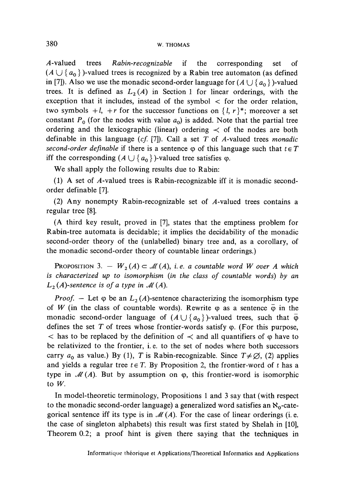^4-valued trees *Rabin-recognizable* if the corresponding set of  $(A \cup \{a_0\})$ -valued trees is recognized by a Rabin tree automaton (as defined in [7]). Also we use the monadic second-order language for  $(A \cup \{a_0\})$ -valued trees. It is defined as  $L_2(A)$  in Section 1 for linear orderings, with the exception that it includes, instead of the symbol  $\lt$  for the order relation, two symbols  $+l$ ,  $+r$  for the successor functions on  $\{l, r\}^*$ ; moreover a set constant  $P_0$  (for the nodes with value  $a_0$ ) is added. Note that the partial tree ordering and the lexicographic (linear) ordering  $\lt$  of the nodes are both definable in this language  $(cf. [7])$ . Call a set T of A-valued trees *monadic second-order definable* if there is a sentence  $\varphi$  of this language such that  $t \in T$ iff the corresponding  $(A \cup \{a_0\})$ -valued tree satisfies  $\varphi$ .

We shall apply the following results due to Rabin:

(1) A set of  $A$ -valued trees is Rabin-recognizable iff it is monadic secondorder definable [7],

(2) Any nonempty Rabin-recognizable set of  $A$ -valued trees contains a regular tree [8].

(A third key result, proved in [7], states that the emptiness problem for Rabin-tree automata is decidable; it implies the decidability of the monadic second-order theory of the (unlabelled) binary tree and, as a corollary, of the monadic second-order theory of countable linear orderings.)

**PROPOSITION** 3.  $-W_2(A) \subset M(A)$ , i.e. a countable word W over A which *is characterized up to isomorphism (in the class of countable words) by an*  $L_2(A)$ -sentence is of a type in  $\mathcal{M}(A)$ .

*Proof.* – Let  $\varphi$  be an  $L_2(A)$ -sentence characterizing the isomorphism type of *W* (in the class of countable words). Rewrite  $\varphi$  as a sentence  $\bar{\varphi}$  in the monadic second-order language of  $(A \cup \{a_0\})$ -valued trees, such that  $\overline{\varphi}$ defines the set  $T$  of trees whose frontier-words satisfy  $\varphi$ . (For this purpose,  $\langle$  has to be replaced by the definition of  $\langle$  and all quantifiers of  $\varphi$  have to be relativized to the frontier, i. e. to the set of nodes where both successors carry  $a_0$  as value.) By (1), T is Rabin-recognizable. Since  $T \neq \emptyset$ , (2) applies and yields a regular tree  $t \in T$ . By Proposition 2, the frontier-word of  $t$  has a type in  $\mathcal{M}(A)$ . But by assumption on  $\varphi$ , this frontier-word is isomorphic to *W.*

In model-theoretic terminology, Propositions 1 and 3 say that (with respect to the monadic second-order language) a generalized word satisfies an  $\aleph_0$ -categorical sentence iff its type is in  $\mathcal{M}(A)$ . For the case of linear orderings (i.e. the case of singleton alphabets) this result was first stated by Shelah in [10], Theorem 0.2; a proof hint is given there saying that the techniques in